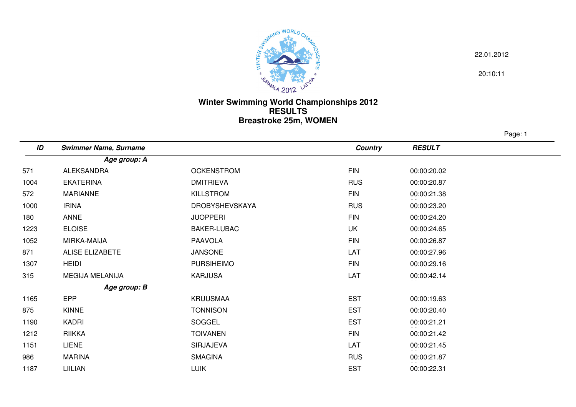

22.01.2012

20:10:11

## **Winter Swimming World Championships 2012 RESULTSBreastroke 25m, WOMEN**

Page: 1

| ID   | <b>Swimmer Name, Surname</b> |                       | <b>Country</b> | <b>RESULT</b> |
|------|------------------------------|-----------------------|----------------|---------------|
|      | Age group: A                 |                       |                |               |
| 571  | ALEKSANDRA                   | <b>OCKENSTROM</b>     | <b>FIN</b>     | 00:00:20.02   |
| 1004 | <b>EKATERINA</b>             | <b>DMITRIEVA</b>      | <b>RUS</b>     | 00:00:20.87   |
| 572  | <b>MARIANNE</b>              | <b>KILLSTROM</b>      | <b>FIN</b>     | 00:00:21.38   |
| 1000 | <b>IRINA</b>                 | <b>DROBYSHEVSKAYA</b> | <b>RUS</b>     | 00:00:23.20   |
| 180  | <b>ANNE</b>                  | <b>JUOPPERI</b>       | <b>FIN</b>     | 00:00:24.20   |
| 1223 | <b>ELOISE</b>                | BAKER-LUBAC           | UK             | 00:00:24.65   |
| 1052 | MIRKA-MAIJA                  | <b>PAAVOLA</b>        | <b>FIN</b>     | 00:00:26.87   |
| 871  | <b>ALISE ELIZABETE</b>       | <b>JANSONE</b>        | LAT            | 00:00:27.96   |
| 1307 | <b>HEIDI</b>                 | <b>PURSIHEIMO</b>     | <b>FIN</b>     | 00:00:29.16   |
| 315  | MEGIJA MELANIJA              | <b>KARJUSA</b>        | LAT            | 00:00:42.14   |
|      | Age group: B                 |                       |                |               |
| 1165 | <b>EPP</b>                   | <b>KRUUSMAA</b>       | <b>EST</b>     | 00:00:19.63   |
| 875  | KINNE                        | <b>TONNISON</b>       | <b>EST</b>     | 00:00:20.40   |
| 1190 | KADRI                        | SOGGEL                | <b>EST</b>     | 00:00:21.21   |
| 1212 | <b>RIIKKA</b>                | <b>TOIVANEN</b>       | <b>FIN</b>     | 00:00:21.42   |
| 1151 | <b>LIENE</b>                 | <b>SIRJAJEVA</b>      | LAT            | 00:00:21.45   |
| 986  | <b>MARINA</b>                | <b>SMAGINA</b>        | <b>RUS</b>     | 00:00:21.87   |
| 1187 | LIILIAN                      | <b>LUIK</b>           | <b>EST</b>     | 00:00:22.31   |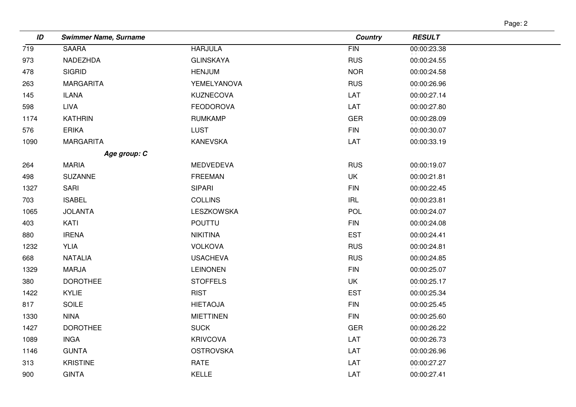| ıΩ<br>ıc |  |
|----------|--|
|----------|--|

| ID   | <b>Swimmer Name, Surname</b> |                  | <b>Country</b> | <b>RESULT</b> |
|------|------------------------------|------------------|----------------|---------------|
| 719  | <b>SAARA</b>                 | <b>HARJULA</b>   | FIN            | 00:00:23.38   |
| 973  | NADEZHDA                     | <b>GLINSKAYA</b> | <b>RUS</b>     | 00:00:24.55   |
| 478  | <b>SIGRID</b>                | <b>HENJUM</b>    | <b>NOR</b>     | 00:00:24.58   |
| 263  | <b>MARGARITA</b>             | YEMELYANOVA      | <b>RUS</b>     | 00:00:26.96   |
| 145  | <b>ILANA</b>                 | KUZNECOVA        | LAT            | 00:00:27.14   |
| 598  | LIVA                         | <b>FEODOROVA</b> | LAT            | 00:00:27.80   |
| 1174 | <b>KATHRIN</b>               | <b>RUMKAMP</b>   | <b>GER</b>     | 00:00:28.09   |
| 576  | <b>ERIKA</b>                 | <b>LUST</b>      | <b>FIN</b>     | 00:00:30.07   |
| 1090 | <b>MARGARITA</b>             | <b>KANEVSKA</b>  | LAT            | 00:00:33.19   |
|      | Age group: C                 |                  |                |               |
| 264  | <b>MARIA</b>                 | <b>MEDVEDEVA</b> | <b>RUS</b>     | 00:00:19.07   |
| 498  | <b>SUZANNE</b>               | <b>FREEMAN</b>   | UK             | 00:00:21.81   |
| 1327 | SARI                         | <b>SIPARI</b>    | <b>FIN</b>     | 00:00:22.45   |
| 703  | <b>ISABEL</b>                | <b>COLLINS</b>   | <b>IRL</b>     | 00:00:23.81   |
| 1065 | <b>JOLANTA</b>               | LESZKOWSKA       | <b>POL</b>     | 00:00:24.07   |
| 403  | KATI                         | <b>POUTTU</b>    | <b>FIN</b>     | 00:00:24.08   |
| 880  | <b>IRENA</b>                 | <b>NIKITINA</b>  | <b>EST</b>     | 00:00:24.41   |
| 1232 | <b>YLIA</b>                  | <b>VOLKOVA</b>   | <b>RUS</b>     | 00:00:24.81   |
| 668  | <b>NATALIA</b>               | <b>USACHEVA</b>  | <b>RUS</b>     | 00:00:24.85   |
| 1329 | <b>MARJA</b>                 | <b>LEINONEN</b>  | <b>FIN</b>     | 00:00:25.07   |
| 380  | <b>DOROTHEE</b>              | <b>STOFFELS</b>  | UK             | 00:00:25.17   |
| 1422 | KYLIE                        | <b>RIST</b>      | <b>EST</b>     | 00:00:25.34   |
| 817  | SOILE                        | <b>HIETAOJA</b>  | <b>FIN</b>     | 00:00:25.45   |
| 1330 | <b>NINA</b>                  | <b>MIETTINEN</b> | <b>FIN</b>     | 00:00:25.60   |
| 1427 | <b>DOROTHEE</b>              | <b>SUCK</b>      | <b>GER</b>     | 00:00:26.22   |
| 1089 | <b>INGA</b>                  | <b>KRIVCOVA</b>  | LAT            | 00:00:26.73   |
| 1146 | <b>GUNTA</b>                 | <b>OSTROVSKA</b> | LAT            | 00:00:26.96   |
| 313  | <b>KRISTINE</b>              | <b>RATE</b>      | LAT            | 00:00:27.27   |
| 900  | <b>GINTA</b>                 | KELLE            | LAT            | 00:00:27.41   |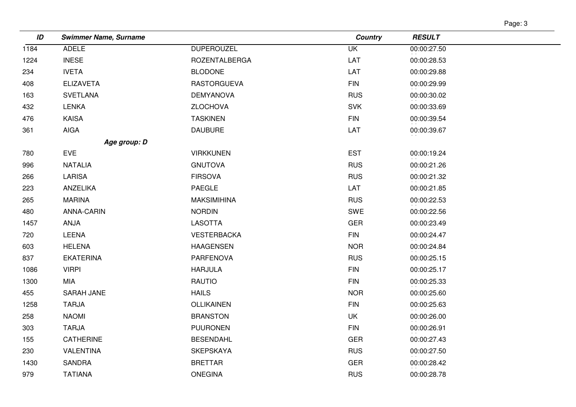| age |  |
|-----|--|
|-----|--|

| ID   | <b>Swimmer Name, Surname</b> |                      | <b>Country</b>           | <b>RESULT</b> |
|------|------------------------------|----------------------|--------------------------|---------------|
| 1184 | <b>ADELE</b>                 | <b>DUPEROUZEL</b>    | $\overline{\mathsf{UK}}$ | 00:00:27.50   |
| 1224 | <b>INESE</b>                 | <b>ROZENTALBERGA</b> | LAT                      | 00:00:28.53   |
| 234  | <b>IVETA</b>                 | <b>BLODONE</b>       | LAT                      | 00:00:29.88   |
| 408  | <b>ELIZAVETA</b>             | <b>RASTORGUEVA</b>   | <b>FIN</b>               | 00:00:29.99   |
| 163  | <b>SVETLANA</b>              | <b>DEMYANOVA</b>     | <b>RUS</b>               | 00:00:30.02   |
| 432  | <b>LENKA</b>                 | <b>ZLOCHOVA</b>      | <b>SVK</b>               | 00:00:33.69   |
| 476  | <b>KAISA</b>                 | <b>TASKINEN</b>      | <b>FIN</b>               | 00:00:39.54   |
| 361  | <b>AIGA</b>                  | <b>DAUBURE</b>       | LAT                      | 00:00:39.67   |
|      | Age group: D                 |                      |                          |               |
| 780  | <b>EVE</b>                   | <b>VIRKKUNEN</b>     | <b>EST</b>               | 00:00:19.24   |
| 996  | <b>NATALIA</b>               | <b>GNUTOVA</b>       | <b>RUS</b>               | 00:00:21.26   |
| 266  | <b>LARISA</b>                | <b>FIRSOVA</b>       | <b>RUS</b>               | 00:00:21.32   |
| 223  | ANZELIKA                     | <b>PAEGLE</b>        | LAT                      | 00:00:21.85   |
| 265  | <b>MARINA</b>                | <b>MAKSIMIHINA</b>   | <b>RUS</b>               | 00:00:22.53   |
| 480  | ANNA-CARIN                   | <b>NORDIN</b>        | SWE                      | 00:00:22.56   |
| 1457 | ANJA                         | <b>LASOTTA</b>       | <b>GER</b>               | 00:00:23.49   |
| 720  | LEENA                        | <b>VESTERBACKA</b>   | <b>FIN</b>               | 00:00:24.47   |
| 603  | <b>HELENA</b>                | <b>HAAGENSEN</b>     | <b>NOR</b>               | 00:00:24.84   |
| 837  | <b>EKATERINA</b>             | PARFENOVA            | <b>RUS</b>               | 00:00:25.15   |
| 1086 | <b>VIRPI</b>                 | <b>HARJULA</b>       | <b>FIN</b>               | 00:00:25.17   |
| 1300 | MIA                          | <b>RAUTIO</b>        | <b>FIN</b>               | 00:00:25.33   |
| 455  | SARAH JANE                   | <b>HAILS</b>         | <b>NOR</b>               | 00:00:25.60   |
| 1258 | <b>TARJA</b>                 | OLLIKAINEN           | <b>FIN</b>               | 00:00:25.63   |
| 258  | <b>NAOMI</b>                 | <b>BRANSTON</b>      | UK                       | 00:00:26.00   |
| 303  | <b>TARJA</b>                 | <b>PUURONEN</b>      | <b>FIN</b>               | 00:00:26.91   |
| 155  | <b>CATHERINE</b>             | <b>BESENDAHL</b>     | <b>GER</b>               | 00:00:27.43   |
| 230  | VALENTINA                    | <b>SKEPSKAYA</b>     | <b>RUS</b>               | 00:00:27.50   |
| 1430 | <b>SANDRA</b>                | <b>BRETTAR</b>       | <b>GER</b>               | 00:00:28.42   |
| 979  | <b>TATIANA</b>               | <b>ONEGINA</b>       | <b>RUS</b>               | 00:00:28.78   |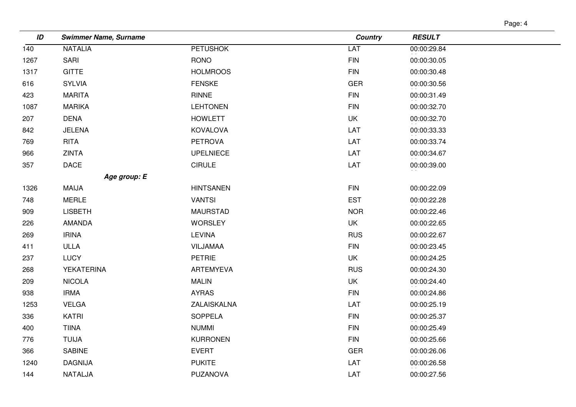| аае |  |
|-----|--|
|-----|--|

| ID   | <b>Swimmer Name, Surname</b> |                  | <b>Country</b> | <b>RESULT</b> |
|------|------------------------------|------------------|----------------|---------------|
| 140  | <b>NATALIA</b>               | <b>PETUSHOK</b>  | LAT            | 00:00:29.84   |
| 1267 | SARI                         | <b>RONO</b>      | <b>FIN</b>     | 00:00:30.05   |
| 1317 | <b>GITTE</b>                 | <b>HOLMROOS</b>  | <b>FIN</b>     | 00:00:30.48   |
| 616  | <b>SYLVIA</b>                | <b>FENSKE</b>    | <b>GER</b>     | 00:00:30.56   |
| 423  | <b>MARITA</b>                | RINNE            | <b>FIN</b>     | 00:00:31.49   |
| 1087 | <b>MARIKA</b>                | <b>LEHTONEN</b>  | <b>FIN</b>     | 00:00:32.70   |
| 207  | <b>DENA</b>                  | <b>HOWLETT</b>   | <b>UK</b>      | 00:00:32.70   |
| 842  | <b>JELENA</b>                | <b>KOVALOVA</b>  | LAT            | 00:00:33.33   |
| 769  | <b>RITA</b>                  | <b>PETROVA</b>   | LAT            | 00:00:33.74   |
| 966  | ZINTA                        | <b>UPELNIECE</b> | LAT            | 00:00:34.67   |
| 357  | <b>DACE</b>                  | <b>CIRULE</b>    | LAT            | 00:00:39.00   |
|      | Age group: E                 |                  |                |               |
| 1326 | MAIJA                        | <b>HINTSANEN</b> | <b>FIN</b>     | 00:00:22.09   |
| 748  | <b>MERLE</b>                 | <b>VANTSI</b>    | <b>EST</b>     | 00:00:22.28   |
| 909  | <b>LISBETH</b>               | <b>MAURSTAD</b>  | <b>NOR</b>     | 00:00:22.46   |
| 226  | <b>AMANDA</b>                | <b>WORSLEY</b>   | UK             | 00:00:22.65   |
| 269  | <b>IRINA</b>                 | LEVINA           | <b>RUS</b>     | 00:00:22.67   |
| 411  | ULLA                         | VILJAMAA         | <b>FIN</b>     | 00:00:23.45   |
| 237  | <b>LUCY</b>                  | <b>PETRIE</b>    | UK             | 00:00:24.25   |
| 268  | <b>YEKATERINA</b>            | <b>ARTEMYEVA</b> | <b>RUS</b>     | 00:00:24.30   |
| 209  | <b>NICOLA</b>                | <b>MALIN</b>     | <b>UK</b>      | 00:00:24.40   |
| 938  | <b>IRMA</b>                  | <b>AYRAS</b>     | <b>FIN</b>     | 00:00:24.86   |
| 1253 | <b>VELGA</b>                 | ZALAISKALNA      | LAT            | 00:00:25.19   |
| 336  | KATRI                        | <b>SOPPELA</b>   | <b>FIN</b>     | 00:00:25.37   |
| 400  | <b>TIINA</b>                 | <b>NUMMI</b>     | <b>FIN</b>     | 00:00:25.49   |
| 776  | <b>TUIJA</b>                 | <b>KURRONEN</b>  | <b>FIN</b>     | 00:00:25.66   |
| 366  | SABINE                       | <b>EVERT</b>     | <b>GER</b>     | 00:00:26.06   |
| 1240 | <b>DAGNIJA</b>               | <b>PUKITE</b>    | LAT            | 00:00:26.58   |
| 144  | NATALJA                      | <b>PUZANOVA</b>  | LAT            | 00:00:27.56   |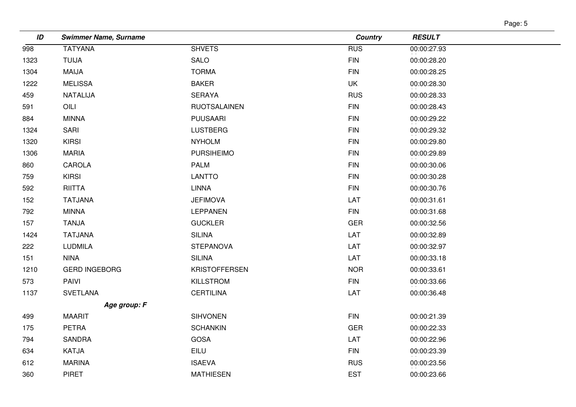| L |  |
|---|--|
|---|--|

| 998  |                      |                      | <b>Country</b> | <b>RESULT</b> |
|------|----------------------|----------------------|----------------|---------------|
|      | <b>TATYANA</b>       | <b>SHVETS</b>        | <b>RUS</b>     | 00:00:27.93   |
| 1323 | <b>TUIJA</b>         | SALO                 | <b>FIN</b>     | 00:00:28.20   |
| 1304 | MAIJA                | <b>TORMA</b>         | <b>FIN</b>     | 00:00:28.25   |
| 1222 | <b>MELISSA</b>       | <b>BAKER</b>         | UK             | 00:00:28.30   |
| 459  | NATALIJA             | <b>SERAYA</b>        | <b>RUS</b>     | 00:00:28.33   |
| 591  | OILI                 | <b>RUOTSALAINEN</b>  | <b>FIN</b>     | 00:00:28.43   |
| 884  | <b>MINNA</b>         | <b>PUUSAARI</b>      | <b>FIN</b>     | 00:00:29.22   |
| 1324 | SARI                 | <b>LUSTBERG</b>      | <b>FIN</b>     | 00:00:29.32   |
| 1320 | <b>KIRSI</b>         | <b>NYHOLM</b>        | <b>FIN</b>     | 00:00:29.80   |
| 1306 | <b>MARIA</b>         | <b>PURSIHEIMO</b>    | <b>FIN</b>     | 00:00:29.89   |
| 860  | CAROLA               | <b>PALM</b>          | <b>FIN</b>     | 00:00:30.06   |
| 759  | <b>KIRSI</b>         | <b>LANTTO</b>        | <b>FIN</b>     | 00:00:30.28   |
| 592  | <b>RIITTA</b>        | <b>LINNA</b>         | <b>FIN</b>     | 00:00:30.76   |
| 152  | <b>TATJANA</b>       | <b>JEFIMOVA</b>      | LAT            | 00:00:31.61   |
| 792  | <b>MINNA</b>         | <b>LEPPANEN</b>      | <b>FIN</b>     | 00:00:31.68   |
| 157  | <b>TANJA</b>         | <b>GUCKLER</b>       | <b>GER</b>     | 00:00:32.56   |
| 1424 | <b>TATJANA</b>       | <b>SILINA</b>        | LAT            | 00:00:32.89   |
| 222  | <b>LUDMILA</b>       | <b>STEPANOVA</b>     | LAT            | 00:00:32.97   |
| 151  | <b>NINA</b>          | <b>SILINA</b>        | LAT            | 00:00:33.18   |
| 1210 | <b>GERD INGEBORG</b> | <b>KRISTOFFERSEN</b> | <b>NOR</b>     | 00:00:33.61   |
| 573  | <b>PAIVI</b>         | KILLSTROM            | <b>FIN</b>     | 00:00:33.66   |
| 1137 | <b>SVETLANA</b>      | <b>CERTILINA</b>     | LAT            | 00:00:36.48   |
|      | Age group: F         |                      |                |               |
| 499  | <b>MAARIT</b>        | <b>SIHVONEN</b>      | <b>FIN</b>     | 00:00:21.39   |
| 175  | <b>PETRA</b>         | <b>SCHANKIN</b>      | <b>GER</b>     | 00:00:22.33   |
| 794  | <b>SANDRA</b>        | <b>GOSA</b>          | LAT            | 00:00:22.96   |
| 634  | KATJA                | EILU                 | <b>FIN</b>     | 00:00:23.39   |
| 612  | <b>MARINA</b>        | <b>ISAEVA</b>        | <b>RUS</b>     | 00:00:23.56   |
| 360  | <b>PIRET</b>         | <b>MATHIESEN</b>     | <b>EST</b>     | 00:00:23.66   |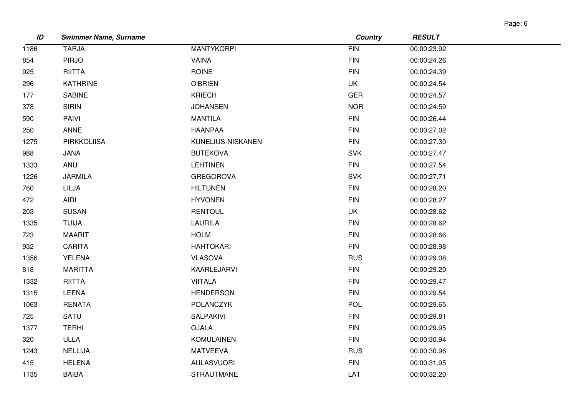| ade |  |
|-----|--|
|-----|--|

| ID   | <b>Swimmer Name, Surname</b> |                   | <b>Country</b> | <b>RESULT</b> |
|------|------------------------------|-------------------|----------------|---------------|
| 1186 | <b>TARJA</b>                 | <b>MANTYKORPI</b> | FIN            | 00:00:23.92   |
| 854  | <b>PIRJO</b>                 | VAINA             | <b>FIN</b>     | 00:00:24.26   |
| 925  | <b>RIITTA</b>                | <b>ROINE</b>      | <b>FIN</b>     | 00:00:24.39   |
| 296  | <b>KATHRINE</b>              | <b>O'BRIEN</b>    | <b>UK</b>      | 00:00:24.54   |
| 177  | <b>SABINE</b>                | <b>KRIECH</b>     | <b>GER</b>     | 00:00:24.57   |
| 378  | <b>SIRIN</b>                 | <b>JOHANSEN</b>   | <b>NOR</b>     | 00:00:24.59   |
| 590  | PAIVI                        | <b>MANTILA</b>    | <b>FIN</b>     | 00:00:26.44   |
| 250  | <b>ANNE</b>                  | <b>HAANPAA</b>    | <b>FIN</b>     | 00:00:27.02   |
| 1275 | <b>PIRKKOLIISA</b>           | KUNELIUS-NISKANEN | <b>FIN</b>     | 00:00:27.30   |
| 988  | <b>JANA</b>                  | <b>BUTEKOVA</b>   | <b>SVK</b>     | 00:00:27.47   |
| 1333 | ANU                          | <b>LEHTINEN</b>   | <b>FIN</b>     | 00:00:27.54   |
| 1226 | <b>JARMILA</b>               | <b>GREGOROVA</b>  | <b>SVK</b>     | 00:00:27.71   |
| 760  | LILJA                        | <b>HILTUNEN</b>   | <b>FIN</b>     | 00:00:28.20   |
| 472  | AIRI                         | <b>HYVONEN</b>    | <b>FIN</b>     | 00:00:28.27   |
| 203  | <b>SUSAN</b>                 | <b>RENTOUL</b>    | UK             | 00:00:28.62   |
| 1335 | <b>TUIJA</b>                 | <b>LAURILA</b>    | <b>FIN</b>     | 00:00:28.62   |
| 723  | <b>MAARIT</b>                | <b>HOLM</b>       | <b>FIN</b>     | 00:00:28.66   |
| 932  | CARITA                       | <b>HAHTOKARI</b>  | <b>FIN</b>     | 00:00:28.98   |
| 1356 | <b>YELENA</b>                | <b>VLASOVA</b>    | <b>RUS</b>     | 00:00:29.08   |
| 818  | <b>MARITTA</b>               | KAARLEJARVI       | <b>FIN</b>     | 00:00:29.20   |
| 1332 | <b>RIITTA</b>                | <b>VIITALA</b>    | <b>FIN</b>     | 00:00:29.47   |
| 1315 | LEENA                        | <b>HENDERSON</b>  | <b>FIN</b>     | 00:00:29.54   |
| 1063 | <b>RENATA</b>                | <b>POLANCZYK</b>  | <b>POL</b>     | 00:00:29.65   |
| 725  | SATU                         | <b>SALPAKIVI</b>  | <b>FIN</b>     | 00:00:29.81   |
| 1377 | <b>TERHI</b>                 | <b>OJALA</b>      | <b>FIN</b>     | 00:00:29.95   |
| 320  | <b>ULLA</b>                  | <b>KOMULAINEN</b> | <b>FIN</b>     | 00:00:30.94   |
| 1243 | <b>NELLIJA</b>               | <b>MATVEEVA</b>   | <b>RUS</b>     | 00:00:30.96   |
| 415  | <b>HELENA</b>                | <b>AULASVUORI</b> | <b>FIN</b>     | 00:00:31.95   |
| 1135 | <b>BAIBA</b>                 | <b>STRAUTMANE</b> | LAT            | 00:00:32.20   |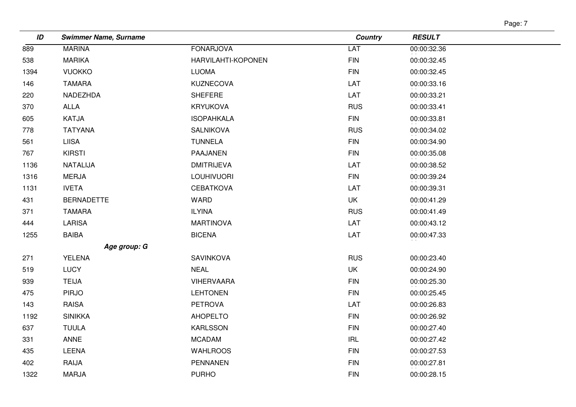| r |  |
|---|--|
|---|--|

| ID   | <b>Swimmer Name, Surname</b> |                    | <b>Country</b> | <b>RESULT</b> |
|------|------------------------------|--------------------|----------------|---------------|
| 889  | <b>MARINA</b>                | <b>FONARJOVA</b>   | LAT            | 00:00:32.36   |
| 538  | <b>MARIKA</b>                | HARVILAHTI-KOPONEN | <b>FIN</b>     | 00:00:32.45   |
| 1394 | <b>VUOKKO</b>                | <b>LUOMA</b>       | <b>FIN</b>     | 00:00:32.45   |
| 146  | <b>TAMARA</b>                | <b>KUZNECOVA</b>   | LAT            | 00:00:33.16   |
| 220  | NADEZHDA                     | SHEFERE            | LAT            | 00:00:33.21   |
| 370  | ALLA                         | <b>KRYUKOVA</b>    | <b>RUS</b>     | 00:00:33.41   |
| 605  | KATJA                        | <b>ISOPAHKALA</b>  | <b>FIN</b>     | 00:00:33.81   |
| 778  | <b>TATYANA</b>               | SALNIKOVA          | <b>RUS</b>     | 00:00:34.02   |
| 561  | <b>LIISA</b>                 | <b>TUNNELA</b>     | <b>FIN</b>     | 00:00:34.90   |
| 767  | <b>KIRSTI</b>                | PAAJANEN           | <b>FIN</b>     | 00:00:35.08   |
| 1136 | NATALIJA                     | <b>DMITRIJEVA</b>  | LAT            | 00:00:38.52   |
| 1316 | <b>MERJA</b>                 | LOUHIVUORI         | <b>FIN</b>     | 00:00:39.24   |
| 1131 | <b>IVETA</b>                 | <b>CEBATKOVA</b>   | LAT            | 00:00:39.31   |
| 431  | <b>BERNADETTE</b>            | WARD               | UK             | 00:00:41.29   |
| 371  | <b>TAMARA</b>                | <b>ILYINA</b>      | <b>RUS</b>     | 00:00:41.49   |
| 444  | <b>LARISA</b>                | <b>MARTINOVA</b>   | LAT            | 00:00:43.12   |
| 1255 | <b>BAIBA</b>                 | <b>BICENA</b>      | LAT            | 00:00:47.33   |
|      | Age group: G                 |                    |                |               |
| 271  | YELENA                       | <b>SAVINKOVA</b>   | <b>RUS</b>     | 00:00:23.40   |
| 519  | <b>LUCY</b>                  | <b>NEAL</b>        | UK             | 00:00:24.90   |
| 939  | <b>TEIJA</b>                 | <b>VIHERVAARA</b>  | <b>FIN</b>     | 00:00:25.30   |
| 475  | <b>PIRJO</b>                 | <b>LEHTONEN</b>    | <b>FIN</b>     | 00:00:25.45   |
| 143  | RAISA                        | <b>PETROVA</b>     | LAT            | 00:00:26.83   |
| 1192 | <b>SINIKKA</b>               | AHOPELTO           | <b>FIN</b>     | 00:00:26.92   |
| 637  | <b>TUULA</b>                 | <b>KARLSSON</b>    | <b>FIN</b>     | 00:00:27.40   |
| 331  | ANNE                         | <b>MCADAM</b>      | IRL            | 00:00:27.42   |
| 435  | LEENA                        | <b>WAHLROOS</b>    | <b>FIN</b>     | 00:00:27.53   |
| 402  | RAIJA                        | <b>PENNANEN</b>    | <b>FIN</b>     | 00:00:27.81   |
| 1322 | <b>MARJA</b>                 | <b>PURHO</b>       | ${\sf FIN}$    | 00:00:28.15   |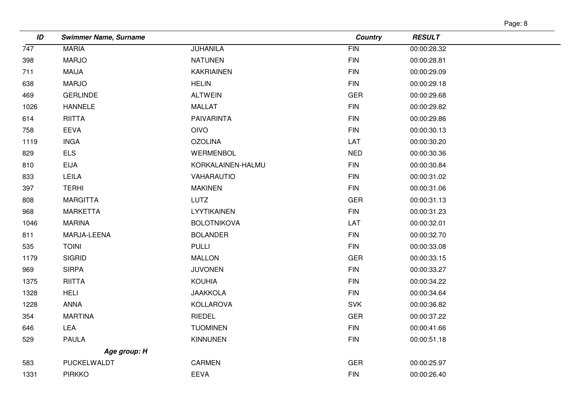| ı∩e |  |
|-----|--|
|-----|--|

| ID   | <b>Swimmer Name, Surname</b> |                    | <b>Country</b> | <b>RESULT</b> |
|------|------------------------------|--------------------|----------------|---------------|
| 747  | <b>MARIA</b>                 | <b>JUHANILA</b>    | FIN            | 00:00:28.32   |
| 398  | <b>MARJO</b>                 | <b>NATUNEN</b>     | <b>FIN</b>     | 00:00:28.81   |
| 711  | <b>MAIJA</b>                 | <b>KAKRIAINEN</b>  | <b>FIN</b>     | 00:00:29.09   |
| 638  | <b>MARJO</b>                 | <b>HELIN</b>       | <b>FIN</b>     | 00:00:29.18   |
| 469  | <b>GERLINDE</b>              | <b>ALTWEIN</b>     | <b>GER</b>     | 00:00:29.68   |
| 1026 | <b>HANNELE</b>               | MALLAT             | <b>FIN</b>     | 00:00:29.82   |
| 614  | <b>RIITTA</b>                | <b>PAIVARINTA</b>  | <b>FIN</b>     | 00:00:29.86   |
| 758  | <b>EEVA</b>                  | <b>OIVO</b>        | <b>FIN</b>     | 00:00:30.13   |
| 1119 | <b>INGA</b>                  | <b>OZOLINA</b>     | LAT            | 00:00:30.20   |
| 829  | <b>ELS</b>                   | WERMENBOL          | <b>NED</b>     | 00:00:30.36   |
| 810  | <b>EIJA</b>                  | KORKALAINEN-HALMU  | <b>FIN</b>     | 00:00:30.84   |
| 833  | LEILA                        | VAHARAUTIO         | <b>FIN</b>     | 00:00:31.02   |
| 397  | <b>TERHI</b>                 | <b>MAKINEN</b>     | <b>FIN</b>     | 00:00:31.06   |
| 808  | <b>MARGITTA</b>              | <b>LUTZ</b>        | <b>GER</b>     | 00:00:31.13   |
| 968  | <b>MARKETTA</b>              | LYYTIKAINEN        | <b>FIN</b>     | 00:00:31.23   |
| 1046 | <b>MARINA</b>                | <b>BOLOTNIKOVA</b> | LAT            | 00:00:32.01   |
| 811  | MARJA-LEENA                  | <b>BOLANDER</b>    | <b>FIN</b>     | 00:00:32.70   |
| 535  | <b>TOINI</b>                 | <b>PULLI</b>       | <b>FIN</b>     | 00:00:33.08   |
| 1179 | <b>SIGRID</b>                | <b>MALLON</b>      | <b>GER</b>     | 00:00:33.15   |
| 969  | <b>SIRPA</b>                 | <b>JUVONEN</b>     | <b>FIN</b>     | 00:00:33.27   |
| 1375 | <b>RIITTA</b>                | <b>KOUHIA</b>      | <b>FIN</b>     | 00:00:34.22   |
| 1328 | <b>HELI</b>                  | <b>JAAKKOLA</b>    | <b>FIN</b>     | 00:00:34.64   |
| 1228 | ANNA                         | KOLLAROVA          | <b>SVK</b>     | 00:00:36.82   |
| 354  | <b>MARTINA</b>               | RIEDEL             | <b>GER</b>     | 00:00:37.22   |
| 646  | LEA                          | <b>TUOMINEN</b>    | <b>FIN</b>     | 00:00:41.66   |
| 529  | <b>PAULA</b>                 | <b>KINNUNEN</b>    | <b>FIN</b>     | 00:00:51.18   |
|      | Age group: H                 |                    |                |               |
| 583  | PUCKELWALDT                  | <b>CARMEN</b>      | <b>GER</b>     | 00:00:25.97   |
| 1331 | <b>PIRKKO</b>                | EEVA               | <b>FIN</b>     | 00:00:26.40   |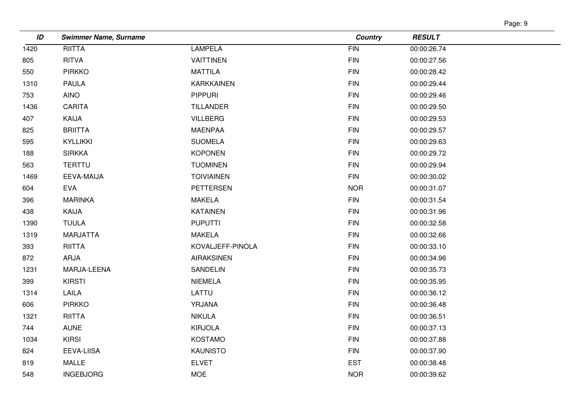| аае |  |
|-----|--|
|-----|--|

| ID   | <b>Swimmer Name, Surname</b> |                   | <b>Country</b> | <b>RESULT</b> |
|------|------------------------------|-------------------|----------------|---------------|
| 1420 | <b>RIITTA</b>                | <b>LAMPELA</b>    | FIN            | 00:00:26.74   |
| 805  | <b>RITVA</b>                 | <b>VAITTINEN</b>  | <b>FIN</b>     | 00:00:27.56   |
| 550  | <b>PIRKKO</b>                | <b>MATTILA</b>    | <b>FIN</b>     | 00:00:28.42   |
| 1310 | <b>PAULA</b>                 | <b>KARKKAINEN</b> | <b>FIN</b>     | 00:00:29.44   |
| 753  | <b>AINO</b>                  | <b>PIPPURI</b>    | <b>FIN</b>     | 00:00:29.46   |
| 1436 | <b>CARITA</b>                | <b>TILLANDER</b>  | <b>FIN</b>     | 00:00:29.50   |
| 407  | KAIJA                        | <b>VILLBERG</b>   | <b>FIN</b>     | 00:00:29.53   |
| 825  | <b>BRIITTA</b>               | <b>MAENPAA</b>    | <b>FIN</b>     | 00:00:29.57   |
| 595  | KYLLIKKI                     | <b>SUOMELA</b>    | <b>FIN</b>     | 00:00:29.63   |
| 188  | <b>SIRKKA</b>                | <b>KOPONEN</b>    | <b>FIN</b>     | 00:00:29.72   |
| 563  | <b>TERTTU</b>                | <b>TUOMINEN</b>   | <b>FIN</b>     | 00:00:29.94   |
| 1469 | EEVA-MAIJA                   | <b>TOIVIAINEN</b> | <b>FIN</b>     | 00:00:30.02   |
| 604  | <b>EVA</b>                   | <b>PETTERSEN</b>  | <b>NOR</b>     | 00:00:31.07   |
| 396  | <b>MARINKA</b>               | <b>MAKELA</b>     | <b>FIN</b>     | 00:00:31.54   |
| 438  | KAIJA                        | <b>KATAINEN</b>   | <b>FIN</b>     | 00:00:31.96   |
| 1390 | <b>TUULA</b>                 | <b>PUPUTTI</b>    | <b>FIN</b>     | 00:00:32.58   |
| 1319 | MARJATTA                     | <b>MAKELA</b>     | <b>FIN</b>     | 00:00:32.66   |
| 393  | RIITTA                       | KOVALJEFF-PINOLA  | <b>FIN</b>     | 00:00:33.10   |
| 872  | ARJA                         | <b>AIRAKSINEN</b> | <b>FIN</b>     | 00:00:34.96   |
| 1231 | MARJA-LEENA                  | SANDELIN          | <b>FIN</b>     | 00:00:35.73   |
| 399  | <b>KIRSTI</b>                | <b>NIEMELA</b>    | <b>FIN</b>     | 00:00:35.95   |
| 1314 | LAILA                        | LATTU             | <b>FIN</b>     | 00:00:36.12   |
| 606  | <b>PIRKKO</b>                | YRJANA            | <b>FIN</b>     | 00:00:36.48   |
| 1321 | RIITTA                       | <b>NIKULA</b>     | <b>FIN</b>     | 00:00:36.51   |
| 744  | <b>AUNE</b>                  | <b>KIRJOLA</b>    | <b>FIN</b>     | 00:00:37.13   |
| 1034 | <b>KIRSI</b>                 | KOSTAMO           | <b>FIN</b>     | 00:00:37.88   |
| 824  | EEVA-LIISA                   | <b>KAUNISTO</b>   | <b>FIN</b>     | 00:00:37.90   |
| 819  | <b>MALLE</b>                 | <b>ELVET</b>      | <b>EST</b>     | 00:00:38.48   |
| 548  | <b>INGEBJORG</b>             | <b>MOE</b>        | <b>NOR</b>     | 00:00:39.62   |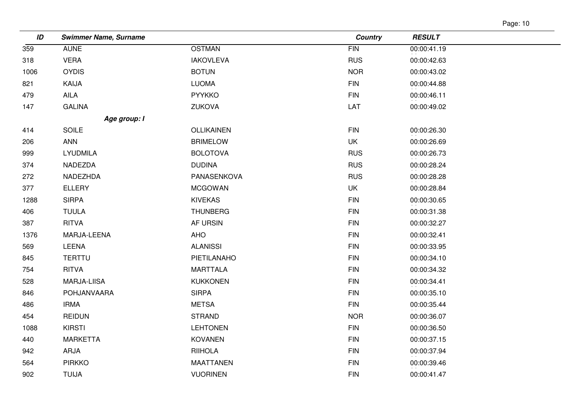| Page: 10 |  |
|----------|--|
|          |  |

| ID   | <b>Swimmer Name, Surname</b> |                  | <b>Country</b> | <b>RESULT</b> |
|------|------------------------------|------------------|----------------|---------------|
| 359  | <b>AUNE</b>                  | <b>OSTMAN</b>    | <b>FIN</b>     | 00:00:41.19   |
| 318  | <b>VERA</b>                  | <b>IAKOVLEVA</b> | <b>RUS</b>     | 00:00:42.63   |
| 1006 | <b>OYDIS</b>                 | <b>BOTUN</b>     | <b>NOR</b>     | 00:00:43.02   |
| 821  | KAIJA                        | <b>LUOMA</b>     | <b>FIN</b>     | 00:00:44.88   |
| 479  | AILA                         | <b>PYYKKO</b>    | <b>FIN</b>     | 00:00:46.11   |
| 147  | <b>GALINA</b>                | ZUKOVA           | LAT            | 00:00:49.02   |
|      | Age group: I                 |                  |                |               |
| 414  | <b>SOILE</b>                 | OLLIKAINEN       | <b>FIN</b>     | 00:00:26.30   |
| 206  | <b>ANN</b>                   | <b>BRIMELOW</b>  | UK             | 00:00:26.69   |
| 999  | <b>LYUDMILA</b>              | <b>BOLOTOVA</b>  | <b>RUS</b>     | 00:00:26.73   |
| 374  | NADEZDA                      | <b>DUDINA</b>    | <b>RUS</b>     | 00:00:28.24   |
| 272  | NADEZHDA                     | PANASENKOVA      | <b>RUS</b>     | 00:00:28.28   |
| 377  | <b>ELLERY</b>                | <b>MCGOWAN</b>   | UK             | 00:00:28.84   |
| 1288 | <b>SIRPA</b>                 | <b>KIVEKAS</b>   | <b>FIN</b>     | 00:00:30.65   |
| 406  | <b>TUULA</b>                 | <b>THUNBERG</b>  | <b>FIN</b>     | 00:00:31.38   |
| 387  | <b>RITVA</b>                 | AF URSIN         | <b>FIN</b>     | 00:00:32.27   |
| 1376 | MARJA-LEENA                  | <b>AHO</b>       | <b>FIN</b>     | 00:00:32.41   |
| 569  | LEENA                        | <b>ALANISSI</b>  | <b>FIN</b>     | 00:00:33.95   |
| 845  | <b>TERTTU</b>                | PIETILANAHO      | <b>FIN</b>     | 00:00:34.10   |
| 754  | <b>RITVA</b>                 | <b>MARTTALA</b>  | <b>FIN</b>     | 00:00:34.32   |
| 528  | MARJA-LIISA                  | <b>KUKKONEN</b>  | <b>FIN</b>     | 00:00:34.41   |
| 846  | POHJANVAARA                  | <b>SIRPA</b>     | $\mathsf{FIN}$ | 00:00:35.10   |
| 486  | <b>IRMA</b>                  | <b>METSA</b>     | <b>FIN</b>     | 00:00:35.44   |
| 454  | <b>REIDUN</b>                | <b>STRAND</b>    | <b>NOR</b>     | 00:00:36.07   |
| 1088 | <b>KIRSTI</b>                | <b>LEHTONEN</b>  | ${\sf FIN}$    | 00:00:36.50   |
| 440  | MARKETTA                     | <b>KOVANEN</b>   | <b>FIN</b>     | 00:00:37.15   |
| 942  | ARJA                         | <b>RIIHOLA</b>   | ${\sf FIN}$    | 00:00:37.94   |
| 564  | <b>PIRKKO</b>                | <b>MAATTANEN</b> | <b>FIN</b>     | 00:00:39.46   |
| 902  | <b>TUIJA</b>                 | <b>VUORINEN</b>  | $\mathsf{FIN}$ | 00:00:41.47   |
|      |                              |                  |                |               |